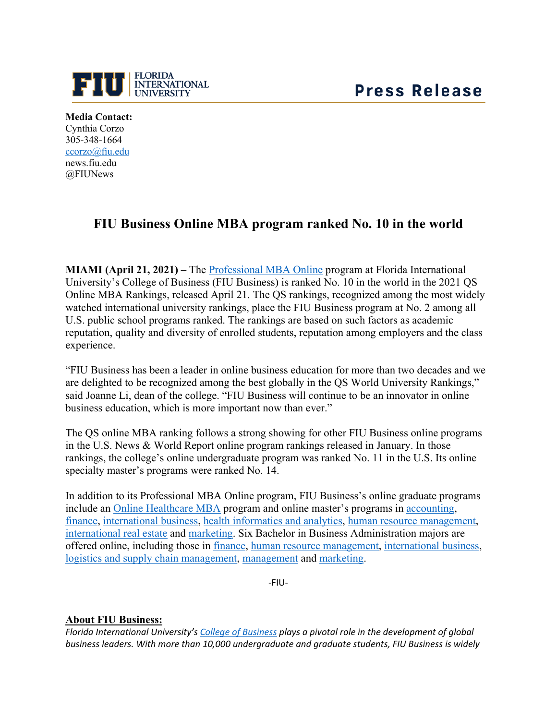



**Media Contact:** Cynthia Corzo 305-348-1664 [ccorzo@fiu.edu](mailto:ccorzo@fiu.edu) news.fiu.edu @FIUNews

## **FIU Business Online MBA program ranked No. 10 in the world**

**MIAMI (April 21, 2021) –** The [Professional MBA Online](https://business.fiu.edu/graduate/online-mba/index.cfm) program at Florida International University's College of Business (FIU Business) is ranked No. 10 in the world in the 2021 QS Online MBA Rankings, released April 21. The QS rankings, recognized among the most widely watched international university rankings, place the FIU Business program at No. 2 among all U.S. public school programs ranked. The rankings are based on such factors as academic reputation, quality and diversity of enrolled students, reputation among employers and the class experience.

"FIU Business has been a leader in online business education for more than two decades and we are delighted to be recognized among the best globally in the QS World University Rankings," said Joanne Li, dean of the college. "FIU Business will continue to be an innovator in online business education, which is more important now than ever."

The QS online MBA ranking follows a strong showing for other FIU Business online programs in the U.S. News & World Report online program rankings released in January. In those rankings, the college's online undergraduate program was ranked No. 11 in the U.S. Its online specialty master's programs were ranked No. 14.

In addition to its Professional MBA Online program, FIU Business's online graduate programs include an [Online Healthcare MBA](https://business.fiu.edu/graduate/healthcare-mba-online/index.cfm) program and online master's programs in [accounting,](https://business.fiu.edu/graduate/accounting/index.cfm) [finance,](https://business.fiu.edu/graduate/finance-online/index.cfm) [international business,](https://fiuonline.fiu.edu/programs/online-graduate-degrees/master-of-international-business.php) [health informatics and analytics,](https://business.fiu.edu/graduate/health-informatics-and-analytics/index.cfm) [human resource management,](https://fiuonline.fiu.edu/programs/online-graduate-degrees/master-of-science-in-human-resource-management.php) [international real estate](https://business.fiu.edu/graduate/international-real-estate-online/index.cfm) and [marketing.](https://business.fiu.edu/graduate/ms-in-marketing-online/index.cfm) Six Bachelor in Business Administration majors are offered online, including those in [finance,](https://business.fiu.edu/undergraduate/bba-finance/index.cfm) [human resource management,](https://business.fiu.edu/undergraduate/bba-hr-management/index.cfm) [international business,](https://business.fiu.edu/undergraduate/bba-international-business/index.cfm) [logistics and supply chain management,](https://business.fiu.edu/undergraduate/bba-logistics-and-supply-chain/index.cfm) [management](https://business.fiu.edu/undergraduate/bba-management/index.cfm) and [marketing.](https://business.fiu.edu/undergraduate/bba-marketing/index.cfm)

-FIU-

## **About FIU Business:**

*Florida International University's [College of Business](https://business.fiu.edu/index.cfm) plays a pivotal role in the development of global business leaders. With more than 10,000 undergraduate and graduate students, FIU Business is widely*